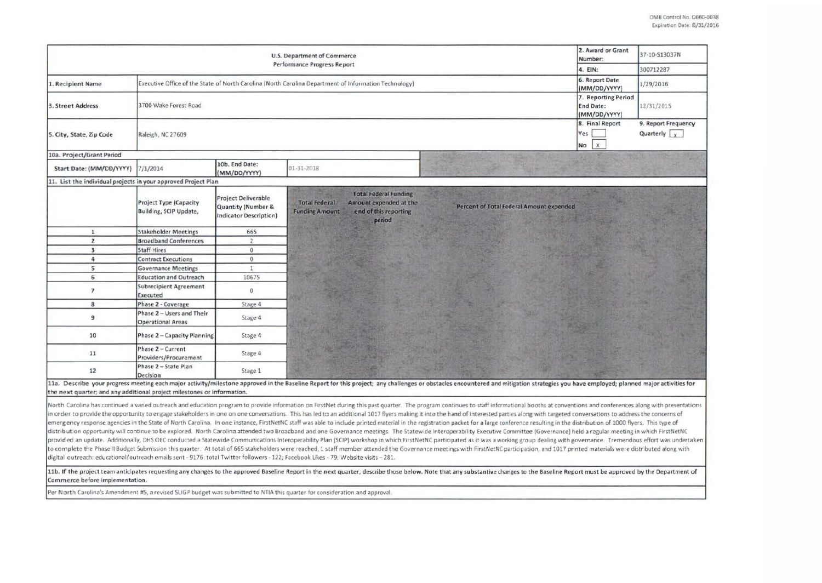| U.S. Department of Commerce<br><b>Performance Progress Report</b>       |                                                                                                       |                                                                     |                                                                                                                                            |                                                                                                                                                                                                                                                                                                                                                                                                                                                                                                                                                                                                                                                                                                                                                                                                                                                                                                                                                                                                                                                                                                                                                                        | 2. Award or Grant<br>Number:                            | 37-10-S13037N                               |
|-------------------------------------------------------------------------|-------------------------------------------------------------------------------------------------------|---------------------------------------------------------------------|--------------------------------------------------------------------------------------------------------------------------------------------|------------------------------------------------------------------------------------------------------------------------------------------------------------------------------------------------------------------------------------------------------------------------------------------------------------------------------------------------------------------------------------------------------------------------------------------------------------------------------------------------------------------------------------------------------------------------------------------------------------------------------------------------------------------------------------------------------------------------------------------------------------------------------------------------------------------------------------------------------------------------------------------------------------------------------------------------------------------------------------------------------------------------------------------------------------------------------------------------------------------------------------------------------------------------|---------------------------------------------------------|---------------------------------------------|
|                                                                         | 4. EIN:                                                                                               | 300712287                                                           |                                                                                                                                            |                                                                                                                                                                                                                                                                                                                                                                                                                                                                                                                                                                                                                                                                                                                                                                                                                                                                                                                                                                                                                                                                                                                                                                        |                                                         |                                             |
| 1. Recipient Name                                                       | Executive Office of the State of North Carolina (North Carolina Department of Information Technology) |                                                                     |                                                                                                                                            |                                                                                                                                                                                                                                                                                                                                                                                                                                                                                                                                                                                                                                                                                                                                                                                                                                                                                                                                                                                                                                                                                                                                                                        |                                                         | 1/29/2016                                   |
| 3. Street Address                                                       | 3700 Wake Forest Road                                                                                 |                                                                     |                                                                                                                                            |                                                                                                                                                                                                                                                                                                                                                                                                                                                                                                                                                                                                                                                                                                                                                                                                                                                                                                                                                                                                                                                                                                                                                                        | 7. Reporting Period<br><b>End Date:</b><br>(MM/DD/YYYY) | 12/31/2015                                  |
| 5. City, State, Zip Code                                                | Raleigh, NC 27609                                                                                     |                                                                     |                                                                                                                                            |                                                                                                                                                                                                                                                                                                                                                                                                                                                                                                                                                                                                                                                                                                                                                                                                                                                                                                                                                                                                                                                                                                                                                                        | 8. Final Report<br>Yes<br>$\mathbf{x}$<br>No            | 9. Report Frequency<br>Quarterly $\sqrt{x}$ |
| 10a. Project/Grant Period                                               |                                                                                                       |                                                                     |                                                                                                                                            |                                                                                                                                                                                                                                                                                                                                                                                                                                                                                                                                                                                                                                                                                                                                                                                                                                                                                                                                                                                                                                                                                                                                                                        |                                                         |                                             |
| Start Date: (MM/DD/YYYY)                                                | 7/1/2014                                                                                              | 10b. End Date:<br>(MM/DD/YYYY)                                      | 01-31-2018                                                                                                                                 |                                                                                                                                                                                                                                                                                                                                                                                                                                                                                                                                                                                                                                                                                                                                                                                                                                                                                                                                                                                                                                                                                                                                                                        |                                                         |                                             |
| 11. List the individual projects in your approved Project Plan          |                                                                                                       |                                                                     |                                                                                                                                            |                                                                                                                                                                                                                                                                                                                                                                                                                                                                                                                                                                                                                                                                                                                                                                                                                                                                                                                                                                                                                                                                                                                                                                        |                                                         |                                             |
|                                                                         | <b>Project Type (Capacity</b><br>Building, SCIP Update,                                               | Project Deliverable<br>Quantity (Number &<br>Indicator Description) | <b>Total Federal Funding</b><br><b>Total Federal</b><br>Amount expended at the<br><b>Funding Amount</b><br>end of this reporting<br>period | Percent of Total Federal Amount expended                                                                                                                                                                                                                                                                                                                                                                                                                                                                                                                                                                                                                                                                                                                                                                                                                                                                                                                                                                                                                                                                                                                               |                                                         |                                             |
| $\mathbf{1}$                                                            | <b>Stakeholder Meetings</b>                                                                           | 665                                                                 |                                                                                                                                            |                                                                                                                                                                                                                                                                                                                                                                                                                                                                                                                                                                                                                                                                                                                                                                                                                                                                                                                                                                                                                                                                                                                                                                        |                                                         |                                             |
| $\overline{z}$                                                          | <b>Broadband Conferences</b>                                                                          | $\overline{2}$                                                      |                                                                                                                                            |                                                                                                                                                                                                                                                                                                                                                                                                                                                                                                                                                                                                                                                                                                                                                                                                                                                                                                                                                                                                                                                                                                                                                                        |                                                         |                                             |
| $\overline{\mathbf{3}}$                                                 | <b>Staff Hires</b>                                                                                    | $\overline{0}$                                                      |                                                                                                                                            |                                                                                                                                                                                                                                                                                                                                                                                                                                                                                                                                                                                                                                                                                                                                                                                                                                                                                                                                                                                                                                                                                                                                                                        |                                                         |                                             |
| $\overline{a}$                                                          | <b>Contract Executions</b>                                                                            | $\theta$                                                            |                                                                                                                                            |                                                                                                                                                                                                                                                                                                                                                                                                                                                                                                                                                                                                                                                                                                                                                                                                                                                                                                                                                                                                                                                                                                                                                                        |                                                         |                                             |
| 5                                                                       | <b>Governance Meetings</b>                                                                            | $\mathbf{1}$                                                        |                                                                                                                                            |                                                                                                                                                                                                                                                                                                                                                                                                                                                                                                                                                                                                                                                                                                                                                                                                                                                                                                                                                                                                                                                                                                                                                                        |                                                         |                                             |
| 6                                                                       | <b>Education and Outreach</b>                                                                         | 10675                                                               |                                                                                                                                            |                                                                                                                                                                                                                                                                                                                                                                                                                                                                                                                                                                                                                                                                                                                                                                                                                                                                                                                                                                                                                                                                                                                                                                        |                                                         |                                             |
| $\overline{\phantom{a}}$                                                | <b>Subrecipient Agreement</b><br>Executed                                                             | $\mathbf{0}$                                                        |                                                                                                                                            |                                                                                                                                                                                                                                                                                                                                                                                                                                                                                                                                                                                                                                                                                                                                                                                                                                                                                                                                                                                                                                                                                                                                                                        |                                                         |                                             |
| 8                                                                       | Phase 2 - Coverage                                                                                    | Stage 4                                                             |                                                                                                                                            |                                                                                                                                                                                                                                                                                                                                                                                                                                                                                                                                                                                                                                                                                                                                                                                                                                                                                                                                                                                                                                                                                                                                                                        |                                                         |                                             |
| 9                                                                       | Phase 2 - Users and Their<br><b>Operational Areas</b>                                                 | Stage 4                                                             |                                                                                                                                            |                                                                                                                                                                                                                                                                                                                                                                                                                                                                                                                                                                                                                                                                                                                                                                                                                                                                                                                                                                                                                                                                                                                                                                        |                                                         |                                             |
| 10                                                                      | Phase 2 - Capacity Planning                                                                           | Stage 4                                                             |                                                                                                                                            |                                                                                                                                                                                                                                                                                                                                                                                                                                                                                                                                                                                                                                                                                                                                                                                                                                                                                                                                                                                                                                                                                                                                                                        |                                                         |                                             |
| 11                                                                      | Phase 2 - Current<br>Providers/Procurement                                                            | Stage 4                                                             |                                                                                                                                            |                                                                                                                                                                                                                                                                                                                                                                                                                                                                                                                                                                                                                                                                                                                                                                                                                                                                                                                                                                                                                                                                                                                                                                        |                                                         |                                             |
| 12                                                                      | Phase 2 - State Plan<br>Decision                                                                      | Stage 1                                                             |                                                                                                                                            |                                                                                                                                                                                                                                                                                                                                                                                                                                                                                                                                                                                                                                                                                                                                                                                                                                                                                                                                                                                                                                                                                                                                                                        |                                                         |                                             |
|                                                                         |                                                                                                       |                                                                     |                                                                                                                                            | 11a. Describe your progress meeting each major activity/milestone approved in the Baseline Report for this project; any challenges or obstacles encountered and mitigation strategies you have employed; planned major activit                                                                                                                                                                                                                                                                                                                                                                                                                                                                                                                                                                                                                                                                                                                                                                                                                                                                                                                                         |                                                         |                                             |
| the next quarter; and any additional project milestones or information. |                                                                                                       |                                                                     |                                                                                                                                            |                                                                                                                                                                                                                                                                                                                                                                                                                                                                                                                                                                                                                                                                                                                                                                                                                                                                                                                                                                                                                                                                                                                                                                        |                                                         |                                             |
|                                                                         |                                                                                                       |                                                                     |                                                                                                                                            | North Carolina has continued a varied outreach and education program to provide information on FirstNet during this past quarter. The program continues to staff informational booths at conventions and conferences along wit<br>in order to provide the opportunity to engage stakeholders in one on one conversations. This has led to an additional 1017 flyers making it into the hand of interested parties along with targeted conversations to address t<br>emergency response agencies in the State of North Carolina. In one instance, FirstNetNC staff was able to include printed material in the registration packet for a large conference resulting in the distribution of 1000 fly<br>distribution opportunity will continue to be explored. North Carolina attended two Broadband and one Governance meetings. The Statewide Interoperability Executive Committee (Governance) held a regular meeting in which Firs<br>provided an update. Additionally, DHS OEC conducted a Statewide Communications Interoperability Plan (SCIP) workshop in which FirstNetNC participated as it was a working group dealing with governance. Tremendous effort was |                                                         |                                             |
|                                                                         |                                                                                                       |                                                                     |                                                                                                                                            | to complete the Phase II Budget Submission this quarter. At total of 665 stakeholders were reached, 1 staff member attended the Governance meetings with FirstNetNC participation, and 1017 printed materials were distributed                                                                                                                                                                                                                                                                                                                                                                                                                                                                                                                                                                                                                                                                                                                                                                                                                                                                                                                                         |                                                         |                                             |

digital outreach: educational/outreach emails sent - 9176; total Twitter followers - 122; Facebook Likes - 79; Website visits - 281.

11b. If the project team anticipates requesting any changes to the approved Baseline Report in the next quarter, describe those below. Note that any substantive changes to the Baseline Report must be approved by the Depart

Per North Carolina's Amendment #5, a revised SLIGP budget was submitted to NTIA this quarter for consideration and approval.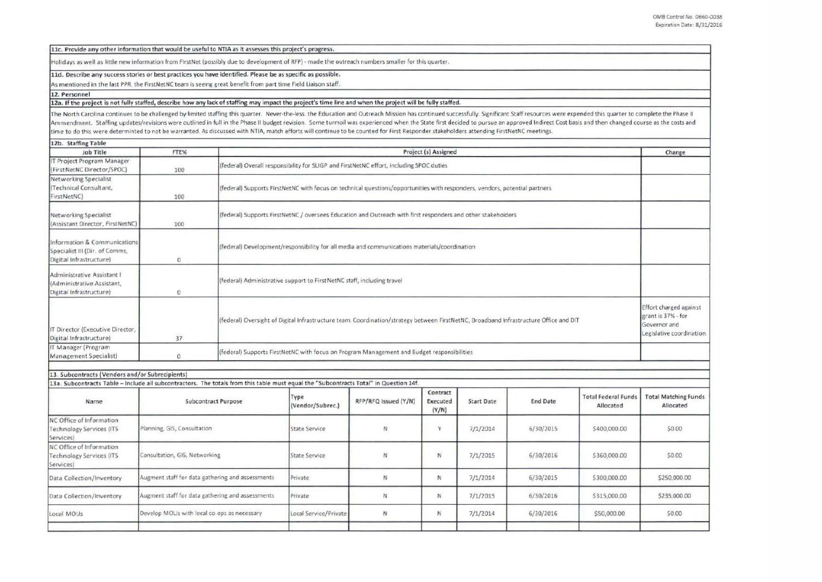11c. Provide any other information that would be useful to NTIA as it assesses this project's progress.

Holidays as w ell as little new information from FlrstNet (possibly due to development of RFP) - made the outreach numbers smaller for this quarter.

#### 11d. Describe any success stories or best practices you have identified. Please be as specific as possible.

As mentioned in the last PPR, the FirstNetNC team is seeing great benefit from part time Field Liaison staff.

# 12. Personnel

# 12a. If the project is not fully staffed, describe how any lack of staffing may impact the project's time line and when the project will be fully staffed.

The North Carolina continues to be challenged by limited staffing this quarter. Never-the-less. the Education and Outreach Mission has continued successfully. Significant Staff resources were expended this quarter to compl Ammendment. Staffing updates/revisions were outlined in full in the Phase II budget revision. Some turmoil was experienced when the State first decided to pursue an approved Indirect Cost basis and then changed course as t time to do this were determinted to not be warranted. As discussed with NTIA, match efforts will continue to be counted for First Responder stakeholders attending FirstNetNC meetings.

| 12b. Staffing Table                                                                       |              |                                                                                                                                       |                                                                                           |  |  |
|-------------------------------------------------------------------------------------------|--------------|---------------------------------------------------------------------------------------------------------------------------------------|-------------------------------------------------------------------------------------------|--|--|
| Job Title                                                                                 | FTE%         | Project (s) Assigned                                                                                                                  |                                                                                           |  |  |
| IT Project Program Manager<br>(FirstNetNC Director/SPOC)                                  | 100          | (federal) Overall responsibility for SLIGP and FirstNetNC effort, including SPOC duties                                               |                                                                                           |  |  |
| Networking Specialist<br>I(Technical Consultant,<br>FirstNetNC)                           | 100          | (federal) Supports FirstNetNC with focus on technical questions/opportunities with responders, vendors, potential partners            |                                                                                           |  |  |
| Networking Specialist<br>(Assistant Director, FirstNetNC)                                 | 100          | (federal) Supports FirstNetNC / oversees Education and Outreach with first responders and other stakeholders                          |                                                                                           |  |  |
| Information & Communications<br>Specialist III (Dir. of Comms,<br>Digital Infrastructure) | $\Omega$     | federal) Development/responsibility for all media and communications materials/coordination                                           |                                                                                           |  |  |
| Administrative Assistant I<br>(Administrative Assistant,<br>Digital Infrastructure)       | $\mathbf{0}$ | (federal) Administrative support to FirstNetNC staff, including travel                                                                |                                                                                           |  |  |
| IT Director (Executive Director,<br>Digital Infrastructure)                               | 37           | (federal) Oversight of Digital Infrastructure team. Coordination/strategy between FirstNetNC, Broadband Infrastructure Office and DIT | Effort charged against<br>grant is 37% - for<br>Governor and<br>Legislative coordination. |  |  |
| IT Manager (Program<br>Management Specialist)                                             | $\Omega$     | (federal) Supports FirstNetNC with focus on Program Management and Budget responsibilities                                            |                                                                                           |  |  |

| 13. Subcontracts (Vendors and/or Subrecipients)                                                                                       |                                                  |                          |                      |                               |                   |                 |                                         |                                          |  |
|---------------------------------------------------------------------------------------------------------------------------------------|--------------------------------------------------|--------------------------|----------------------|-------------------------------|-------------------|-----------------|-----------------------------------------|------------------------------------------|--|
| 13a. Subcontracts Table - Include all subcontractors. The totals from this table must equal the "Subcontracts Total" in Question 14f. |                                                  |                          |                      |                               |                   |                 |                                         |                                          |  |
| Name                                                                                                                                  | Subcontract Purpose                              | Type<br>(Vendor/Subrec.) | RFP/RFQ Issued (Y/N) | Contract<br>Executed<br>(Y/N) | <b>Start Date</b> | <b>End Date</b> | <b>Total Federal Funds</b><br>Allocated | <b>Total Matching Funds</b><br>Allocated |  |
| NC Office of Information<br><b>Technology Services (ITS</b><br>Services)                                                              | Planning, GIS, Consultation                      | <b>State Service</b>     | N                    | v                             | 7/1/2014          | 6/30/2015       | \$400,000.00                            | \$0.00                                   |  |
| NC Office of Information<br>Technology Services (ITS<br>Services)                                                                     | Consultation, GIS, Networking                    | <b>State Service</b>     | N                    | N                             | 7/1/2015          | 6/30/2016       | \$360,000.00                            | \$0.00                                   |  |
| Data Collection/Inventory                                                                                                             | Augment staff for data gathering and assessments | Private                  | N                    | N                             | 7/1/2014          | 6/30/2015       | \$300,000.00                            | \$250,000.00                             |  |
| Data Collection/Inventory                                                                                                             | Augment staff for data gathering and assessments | Private                  | N                    | N                             | 7/1/2015          | 6/30/2016       | \$315,000.00                            | \$235,000.00                             |  |
| Local MOUs                                                                                                                            | Develop MOUs with local co-ops as necessary      | Local Service/Private    | N                    | N                             | 7/1/2014          | 6/30/2016       | \$50,000.00                             | \$0.00                                   |  |
|                                                                                                                                       |                                                  |                          |                      |                               |                   |                 |                                         |                                          |  |